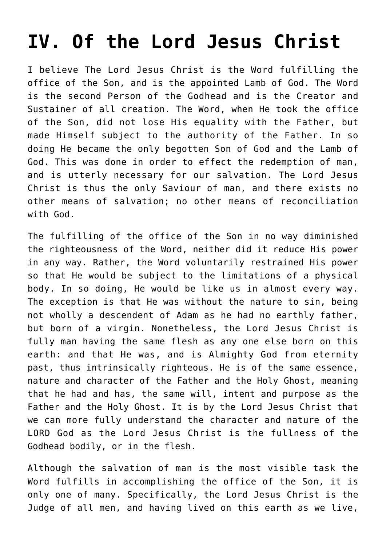## **[IV. Of the Lord Jesus Christ](https://reproachofmen.org/statement-of-faith/iv-of-the-lord-jesus-christ/)**

I believe The Lord Jesus Christ is the Word fulfilling the office of the Son, and is the appointed Lamb of God. The Word is the second Person of the Godhead and is the Creator and Sustainer of all creation. The Word, when He took the office of the Son, did not lose His equality with the Father, but made Himself subject to the authority of the Father. In so doing He became the only begotten Son of God and the Lamb of God. This was done in order to effect the redemption of man, and is utterly necessary for our salvation. The Lord Jesus Christ is thus the only Saviour of man, and there exists no other means of salvation; no other means of reconciliation with God.

The fulfilling of the office of the Son in no way diminished the righteousness of the Word, neither did it reduce His power in any way. Rather, the Word voluntarily restrained His power so that He would be subject to the limitations of a physical body. In so doing, He would be like us in almost every way. The exception is that He was without the nature to sin, being not wholly a descendent of Adam as he had no earthly father, but born of a virgin. Nonetheless, the Lord Jesus Christ is fully man having the same flesh as any one else born on this earth: and that He was, and is Almighty God from eternity past, thus intrinsically righteous. He is of the same essence, nature and character of the Father and the Holy Ghost, meaning that he had and has, the same will, intent and purpose as the Father and the Holy Ghost. It is by the Lord Jesus Christ that we can more fully understand the character and nature of the LORD God as the Lord Jesus Christ is the fullness of the Godhead bodily, or in the flesh.

Although the salvation of man is the most visible task the Word fulfills in accomplishing the office of the Son, it is only one of many. Specifically, the Lord Jesus Christ is the Judge of all men, and having lived on this earth as we live,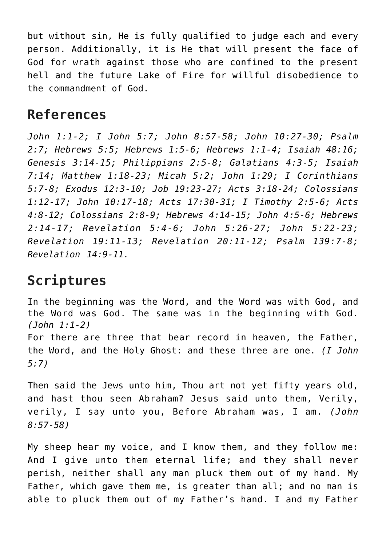but without sin, He is fully qualified to judge each and every person. Additionally, it is He that will present the face of God for wrath against those who are confined to the present hell and the future Lake of Fire for willful disobedience to the commandment of God.

## **References**

*John 1:1-2; I John 5:7; John 8:57-58; John 10:27-30; Psalm 2:7; Hebrews 5:5; Hebrews 1:5-6; Hebrews 1:1-4; Isaiah 48:16; Genesis 3:14-15; Philippians 2:5-8; Galatians 4:3-5; Isaiah 7:14; Matthew 1:18-23; Micah 5:2; John 1:29; I Corinthians 5:7-8; Exodus 12:3-10; Job 19:23-27; Acts 3:18-24; Colossians 1:12-17; John 10:17-18; Acts 17:30-31; I Timothy 2:5-6; Acts 4:8-12; Colossians 2:8-9; Hebrews 4:14-15; John 4:5-6; Hebrews 2:14-17; Revelation 5:4-6; John 5:26-27; John 5:22-23; Revelation 19:11-13; Revelation 20:11-12; Psalm 139:7-8; Revelation 14:9-11.*

## **Scriptures**

In the beginning was the Word, and the Word was with God, and the Word was God. The same was in the beginning with God. *(John 1:1-2)* For there are three that bear record in heaven, the Father, the Word, and the Holy Ghost: and these three are one. *(I John 5:7)*

Then said the Jews unto him, Thou art not yet fifty years old, and hast thou seen Abraham? Jesus said unto them, Verily, verily, I say unto you, Before Abraham was, I am. *(John 8:57-58)*

My sheep hear my voice, and I know them, and they follow me: And I give unto them eternal life; and they shall never perish, neither shall any man pluck them out of my hand. My Father, which gave them me, is greater than all; and no man is able to pluck them out of my Father's hand. I and my Father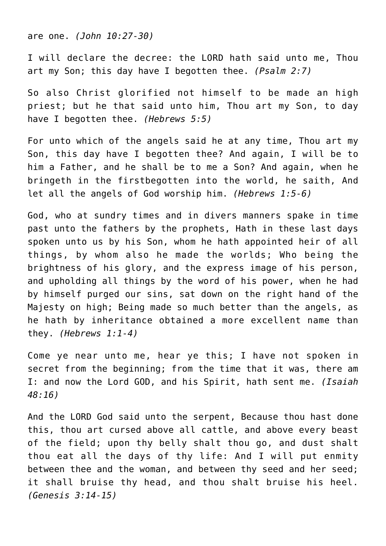are one. *(John 10:27-30)*

I will declare the decree: the LORD hath said unto me, Thou art my Son; this day have I begotten thee. *(Psalm 2:7)*

So also Christ glorified not himself to be made an high priest; but he that said unto him, Thou art my Son, to day have I begotten thee. *(Hebrews 5:5)*

For unto which of the angels said he at any time, Thou art my Son, this day have I begotten thee? And again, I will be to him a Father, and he shall be to me a Son? And again, when he bringeth in the firstbegotten into the world, he saith, And let all the angels of God worship him. *(Hebrews 1:5-6)*

God, who at sundry times and in divers manners spake in time past unto the fathers by the prophets, Hath in these last days spoken unto us by his Son, whom he hath appointed heir of all things, by whom also he made the worlds; Who being the brightness of his glory, and the express image of his person, and upholding all things by the word of his power, when he had by himself purged our sins, sat down on the right hand of the Majesty on high; Being made so much better than the angels, as he hath by inheritance obtained a more excellent name than they. *(Hebrews 1:1-4)*

Come ye near unto me, hear ye this; I have not spoken in secret from the beginning; from the time that it was, there am I: and now the Lord GOD, and his Spirit, hath sent me. *(Isaiah 48:16)*

And the LORD God said unto the serpent, Because thou hast done this, thou art cursed above all cattle, and above every beast of the field; upon thy belly shalt thou go, and dust shalt thou eat all the days of thy life: And I will put enmity between thee and the woman, and between thy seed and her seed; it shall bruise thy head, and thou shalt bruise his heel. *(Genesis 3:14-15)*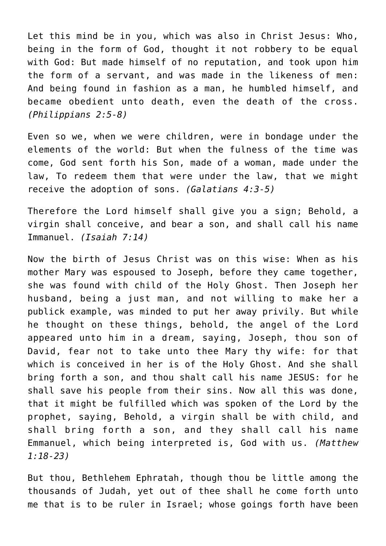Let this mind be in you, which was also in Christ Jesus: Who, being in the form of God, thought it not robbery to be equal with God: But made himself of no reputation, and took upon him the form of a servant, and was made in the likeness of men: And being found in fashion as a man, he humbled himself, and became obedient unto death, even the death of the cross. *(Philippians 2:5-8)*

Even so we, when we were children, were in bondage under the elements of the world: But when the fulness of the time was come, God sent forth his Son, made of a woman, made under the law, To redeem them that were under the law, that we might receive the adoption of sons. *(Galatians 4:3-5)*

Therefore the Lord himself shall give you a sign; Behold, a virgin shall conceive, and bear a son, and shall call his name Immanuel. *(Isaiah 7:14)*

Now the birth of Jesus Christ was on this wise: When as his mother Mary was espoused to Joseph, before they came together, she was found with child of the Holy Ghost. Then Joseph her husband, being a just man, and not willing to make her a publick example, was minded to put her away privily. But while he thought on these things, behold, the angel of the Lord appeared unto him in a dream, saying, Joseph, thou son of David, fear not to take unto thee Mary thy wife: for that which is conceived in her is of the Holy Ghost. And she shall bring forth a son, and thou shalt call his name JESUS: for he shall save his people from their sins. Now all this was done, that it might be fulfilled which was spoken of the Lord by the prophet, saying, Behold, a virgin shall be with child, and shall bring forth a son, and they shall call his name Emmanuel, which being interpreted is, God with us. *(Matthew 1:18-23)*

But thou, Bethlehem Ephratah, though thou be little among the thousands of Judah, yet out of thee shall he come forth unto me that is to be ruler in Israel; whose goings forth have been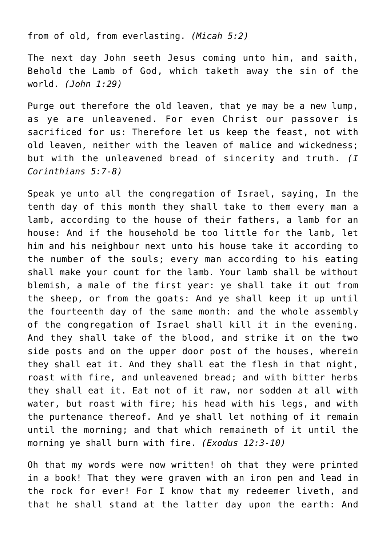from of old, from everlasting. *(Micah 5:2)*

The next day John seeth Jesus coming unto him, and saith, Behold the Lamb of God, which taketh away the sin of the world. *(John 1:29)*

Purge out therefore the old leaven, that ye may be a new lump, as ye are unleavened. For even Christ our passover is sacrificed for us: Therefore let us keep the feast, not with old leaven, neither with the leaven of malice and wickedness; but with the unleavened bread of sincerity and truth. *(I Corinthians 5:7-8)*

Speak ye unto all the congregation of Israel, saying, In the tenth day of this month they shall take to them every man a lamb, according to the house of their fathers, a lamb for an house: And if the household be too little for the lamb, let him and his neighbour next unto his house take it according to the number of the souls; every man according to his eating shall make your count for the lamb. Your lamb shall be without blemish, a male of the first year: ye shall take it out from the sheep, or from the goats: And ye shall keep it up until the fourteenth day of the same month: and the whole assembly of the congregation of Israel shall kill it in the evening. And they shall take of the blood, and strike it on the two side posts and on the upper door post of the houses, wherein they shall eat it. And they shall eat the flesh in that night, roast with fire, and unleavened bread; and with bitter herbs they shall eat it. Eat not of it raw, nor sodden at all with water, but roast with fire; his head with his legs, and with the purtenance thereof. And ye shall let nothing of it remain until the morning; and that which remaineth of it until the morning ye shall burn with fire. *(Exodus 12:3-10)*

Oh that my words were now written! oh that they were printed in a book! That they were graven with an iron pen and lead in the rock for ever! For I know that my redeemer liveth, and that he shall stand at the latter day upon the earth: And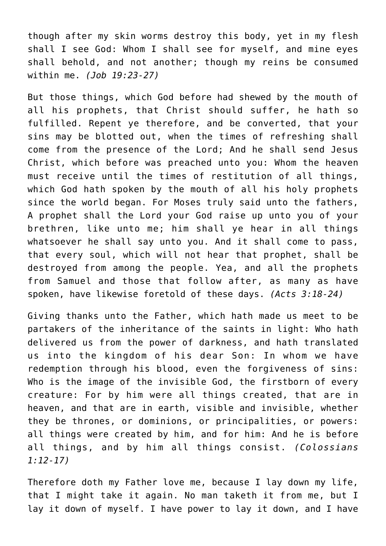though after my skin worms destroy this body, yet in my flesh shall I see God: Whom I shall see for myself, and mine eyes shall behold, and not another; though my reins be consumed within me. *(Job 19:23-27)*

But those things, which God before had shewed by the mouth of all his prophets, that Christ should suffer, he hath so fulfilled. Repent ye therefore, and be converted, that your sins may be blotted out, when the times of refreshing shall come from the presence of the Lord; And he shall send Jesus Christ, which before was preached unto you: Whom the heaven must receive until the times of restitution of all things, which God hath spoken by the mouth of all his holy prophets since the world began. For Moses truly said unto the fathers, A prophet shall the Lord your God raise up unto you of your brethren, like unto me; him shall ye hear in all things whatsoever he shall say unto you. And it shall come to pass, that every soul, which will not hear that prophet, shall be destroyed from among the people. Yea, and all the prophets from Samuel and those that follow after, as many as have spoken, have likewise foretold of these days. *(Acts 3:18-24)*

Giving thanks unto the Father, which hath made us meet to be partakers of the inheritance of the saints in light: Who hath delivered us from the power of darkness, and hath translated us into the kingdom of his dear Son: In whom we have redemption through his blood, even the forgiveness of sins: Who is the image of the invisible God, the firstborn of every creature: For by him were all things created, that are in heaven, and that are in earth, visible and invisible, whether they be thrones, or dominions, or principalities, or powers: all things were created by him, and for him: And he is before all things, and by him all things consist. *(Colossians 1:12-17)*

Therefore doth my Father love me, because I lay down my life, that I might take it again. No man taketh it from me, but I lay it down of myself. I have power to lay it down, and I have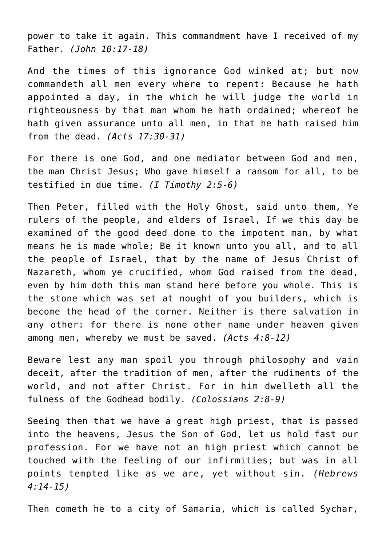power to take it again. This commandment have I received of my Father. *(John 10:17-18)*

And the times of this ignorance God winked at; but now commandeth all men every where to repent: Because he hath appointed a day, in the which he will judge the world in righteousness by that man whom he hath ordained; whereof he hath given assurance unto all men, in that he hath raised him from the dead. *(Acts 17:30-31)*

For there is one God, and one mediator between God and men, the man Christ Jesus; Who gave himself a ransom for all, to be testified in due time. *(I Timothy 2:5-6)*

Then Peter, filled with the Holy Ghost, said unto them, Ye rulers of the people, and elders of Israel, If we this day be examined of the good deed done to the impotent man, by what means he is made whole; Be it known unto you all, and to all the people of Israel, that by the name of Jesus Christ of Nazareth, whom ye crucified, whom God raised from the dead, even by him doth this man stand here before you whole. This is the stone which was set at nought of you builders, which is become the head of the corner. Neither is there salvation in any other: for there is none other name under heaven given among men, whereby we must be saved. *(Acts 4:8-12)*

Beware lest any man spoil you through philosophy and vain deceit, after the tradition of men, after the rudiments of the world, and not after Christ. For in him dwelleth all the fulness of the Godhead bodily. *(Colossians 2:8-9)*

Seeing then that we have a great high priest, that is passed into the heavens, Jesus the Son of God, let us hold fast our profession. For we have not an high priest which cannot be touched with the feeling of our infirmities; but was in all points tempted like as we are, yet without sin. *(Hebrews 4:14-15)*

Then cometh he to a city of Samaria, which is called Sychar,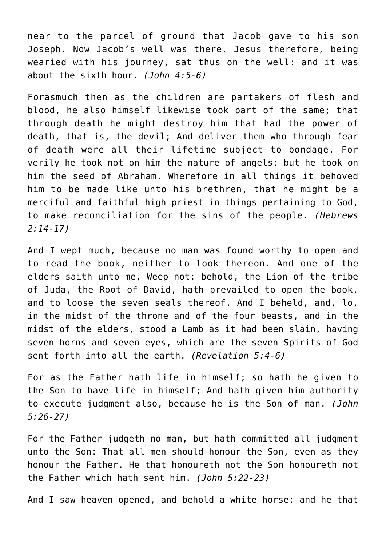near to the parcel of ground that Jacob gave to his son Joseph. Now Jacob's well was there. Jesus therefore, being wearied with his journey, sat thus on the well: and it was about the sixth hour. *(John 4:5-6)*

Forasmuch then as the children are partakers of flesh and blood, he also himself likewise took part of the same; that through death he might destroy him that had the power of death, that is, the devil; And deliver them who through fear of death were all their lifetime subject to bondage. For verily he took not on him the nature of angels; but he took on him the seed of Abraham. Wherefore in all things it behoved him to be made like unto his brethren, that he might be a merciful and faithful high priest in things pertaining to God, to make reconciliation for the sins of the people. *(Hebrews 2:14-17)*

And I wept much, because no man was found worthy to open and to read the book, neither to look thereon. And one of the elders saith unto me, Weep not: behold, the Lion of the tribe of Juda, the Root of David, hath prevailed to open the book, and to loose the seven seals thereof. And I beheld, and, lo, in the midst of the throne and of the four beasts, and in the midst of the elders, stood a Lamb as it had been slain, having seven horns and seven eyes, which are the seven Spirits of God sent forth into all the earth. *(Revelation 5:4-6)*

For as the Father hath life in himself; so hath he given to the Son to have life in himself; And hath given him authority to execute judgment also, because he is the Son of man. *(John 5:26-27)*

For the Father judgeth no man, but hath committed all judgment unto the Son: That all men should honour the Son, even as they honour the Father. He that honoureth not the Son honoureth not the Father which hath sent him. *(John 5:22-23)*

And I saw heaven opened, and behold a white horse; and he that